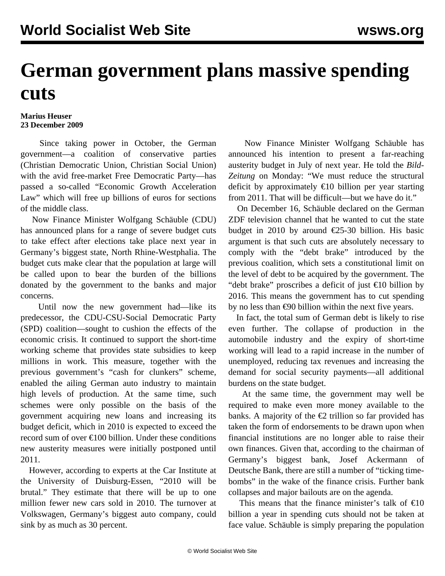## **German government plans massive spending cuts**

## **Marius Heuser 23 December 2009**

 Since taking power in October, the German government—a coalition of conservative parties (Christian Democratic Union, Christian Social Union) with the avid free-market Free Democratic Party—has passed a so-called "Economic Growth Acceleration Law" which will free up billions of euros for sections of the middle class.

 Now Finance Minister Wolfgang Schäuble (CDU) has announced plans for a range of severe budget cuts to take effect after elections take place next year in Germany's biggest state, North Rhine-Westphalia. The budget cuts make clear that the population at large will be called upon to bear the burden of the billions donated by the government to the banks and major concerns.

 Until now the new government had—like its predecessor, the CDU-CSU-Social Democratic Party (SPD) coalition—sought to cushion the effects of the economic crisis. It continued to support the short-time working scheme that provides state subsidies to keep millions in work. This measure, together with the previous government's "cash for clunkers" scheme, enabled the ailing German auto industry to maintain high levels of production. At the same time, such schemes were only possible on the basis of the government acquiring new loans and increasing its budget deficit, which in 2010 is expected to exceed the record sum of over €100 billion. Under these conditions new austerity measures were initially postponed until 2011.

 However, according to experts at the Car Institute at the University of Duisburg-Essen, "2010 will be brutal." They estimate that there will be up to one million fewer new cars sold in 2010. The turnover at Volkswagen, Germany's biggest auto company, could sink by as much as 30 percent.

 Now Finance Minister Wolfgang Schäuble has announced his intention to present a far-reaching austerity budget in July of next year. He told the *Bild-Zeitung* on Monday: "We must reduce the structural deficit by approximately  $\epsilon$ 10 billion per year starting from 2011. That will be difficult—but we have do it."

 On December 16, Schäuble declared on the German ZDF television channel that he wanted to cut the state budget in 2010 by around  $\epsilon$ 25-30 billion. His basic argument is that such cuts are absolutely necessary to comply with the "debt brake" introduced by the previous coalition, which sets a constitutional limit on the level of debt to be acquired by the government. The "debt brake" proscribes a deficit of just  $\epsilon$ 10 billion by 2016. This means the government has to cut spending by no less than €90 billion within the next five years.

 In fact, the total sum of German debt is likely to rise even further. The collapse of production in the automobile industry and the expiry of short-time working will lead to a rapid increase in the number of unemployed, reducing tax revenues and increasing the demand for social security payments—all additional burdens on the state budget.

 At the same time, the government may well be required to make even more money available to the banks. A majority of the  $\epsilon$ 2 trillion so far provided has taken the form of endorsements to be drawn upon when financial institutions are no longer able to raise their own finances. Given that, according to the chairman of Germany's biggest bank, Josef Ackermann of Deutsche Bank, there are still a number of "ticking timebombs" in the wake of the finance crisis. Further bank collapses and major bailouts are on the agenda.

This means that the finance minister's talk of  $\epsilon 10$ billion a year in spending cuts should not be taken at face value. Schäuble is simply preparing the population